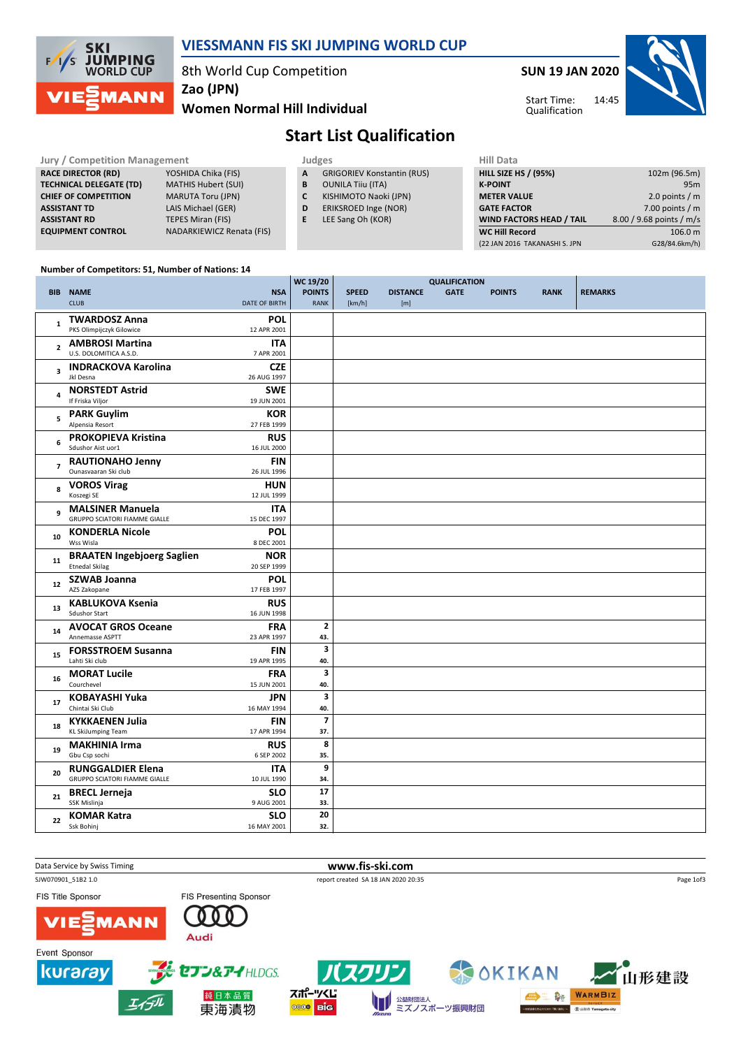

### VIESSMANN FIS SKI JUMPING WORLD CUP

8th World Cup Competition

Zao (JPN)

LAIS Michael (GER)

NADARKIEWICZ Renata (FIS)

### Women Normal Hill Individual

## SUN 19 JAN 2020



14:45 Start Time: Qualification

# Start List Qualification

### Jury / Competition Management<br> **RACE DIRECTOR (RD)** YOSHIDA Chika (FIS) **A** GRIGORIEV Konstantin (RUS) **HILL SIZE** RACE DIRECTOR (RD) **TECHNICAL DELEGATE (TD)** MATHIS Hubert (SUI)<br> **CHIEF OF COMPETITION** MARUTA Toru (JPN) **CHIEF OF COMPETITION**<br>ASSISTANT TD **ASSISTANT RD** TEPES Miran (FIS)<br> **EQUIPMENT CONTROL** NADARKIEWICZ Re

|  | - | .,<br>× |  |  |
|--|---|---------|--|--|
|  |   |         |  |  |

- A GRIGORIEV Konstantin (RUS)
- **B** OUNILA Tiiu (ITA)<br>**C** KISHIMOTO Naok
	- KISHIMOTO Naoki (JPN)
- D ERIKSROED Inge (NOR)
- E LEE Sang Oh (KOR)

| нш рата                         |                          |
|---------------------------------|--------------------------|
| <b>HILL SIZE HS / (95%)</b>     | 102m (96.5m)             |
| <b>K-POINT</b>                  | 95 <sub>m</sub>          |
| <b>METER VALUE</b>              | 2.0 points $/m$          |
| <b>GATE FACTOR</b>              | 7.00 points $/m$         |
| <b>WIND FACTORS HEAD / TAIL</b> | 8.00 / 9.68 points / m/s |
| <b>WC Hill Record</b>           | 106.0 m                  |
| (22 JAN 2016 TAKANASHI S. JPN   | G28/84.6km/h)            |
|                                 |                          |

#### Number of Competitors: 51, Number of Nations: 14

|                         |                                                            |                           | WC 19/20                | <b>QUALIFICATION</b> |                 |             |               |             |                |  |
|-------------------------|------------------------------------------------------------|---------------------------|-------------------------|----------------------|-----------------|-------------|---------------|-------------|----------------|--|
|                         | <b>BIB NAME</b>                                            | <b>NSA</b>                | <b>POINTS</b>           | <b>SPEED</b>         | <b>DISTANCE</b> | <b>GATE</b> | <b>POINTS</b> | <b>RANK</b> | <b>REMARKS</b> |  |
|                         | <b>CLUB</b>                                                | DATE OF BIRTH             | <b>RANK</b>             | [km/h]               | [m]             |             |               |             |                |  |
|                         | <b>TWARDOSZ Anna</b>                                       | <b>POL</b>                |                         |                      |                 |             |               |             |                |  |
| 1                       | PKS Olimpijczyk Gilowice                                   | 12 APR 2001               |                         |                      |                 |             |               |             |                |  |
|                         |                                                            |                           |                         |                      |                 |             |               |             |                |  |
| $\overline{2}$          | <b>AMBROSI Martina</b><br>U.S. DOLOMITICA A.S.D.           | <b>ITA</b><br>7 APR 2001  |                         |                      |                 |             |               |             |                |  |
|                         |                                                            |                           |                         |                      |                 |             |               |             |                |  |
| $\overline{\mathbf{3}}$ | <b>INDRACKOVA Karolina</b>                                 | <b>CZE</b>                |                         |                      |                 |             |               |             |                |  |
|                         | Jkl Desna                                                  | 26 AUG 1997               |                         |                      |                 |             |               |             |                |  |
| $\overline{\mathbf{4}}$ | <b>NORSTEDT Astrid</b>                                     | <b>SWE</b>                |                         |                      |                 |             |               |             |                |  |
|                         | If Friska Viljor                                           | 19 JUN 2001               |                         |                      |                 |             |               |             |                |  |
| 5                       | <b>PARK Guylim</b>                                         | <b>KOR</b>                |                         |                      |                 |             |               |             |                |  |
|                         | Alpensia Resort                                            | 27 FEB 1999               |                         |                      |                 |             |               |             |                |  |
| 6                       | <b>PROKOPIEVA Kristina</b>                                 | <b>RUS</b>                |                         |                      |                 |             |               |             |                |  |
|                         | Sdushor Aist uor1                                          | 16 JUL 2000               |                         |                      |                 |             |               |             |                |  |
|                         | <b>RAUTIONAHO Jenny</b>                                    | <b>FIN</b>                |                         |                      |                 |             |               |             |                |  |
| $\overline{7}$          | Ounasvaaran Ski club                                       | 26 JUL 1996               |                         |                      |                 |             |               |             |                |  |
|                         | <b>VOROS Virag</b>                                         | <b>HUN</b>                |                         |                      |                 |             |               |             |                |  |
| 8                       | Koszegi SE                                                 | 12 JUL 1999               |                         |                      |                 |             |               |             |                |  |
|                         | <b>MALSINER Manuela</b>                                    | <b>ITA</b>                |                         |                      |                 |             |               |             |                |  |
| 9                       | <b>GRUPPO SCIATORI FIAMME GIALLE</b>                       | 15 DEC 1997               |                         |                      |                 |             |               |             |                |  |
|                         | <b>KONDERLA Nicole</b>                                     | <b>POL</b>                |                         |                      |                 |             |               |             |                |  |
| 10                      | Wss Wisla                                                  | 8 DEC 2001                |                         |                      |                 |             |               |             |                |  |
|                         |                                                            |                           |                         |                      |                 |             |               |             |                |  |
| 11                      | <b>BRAATEN Ingebjoerg Saglien</b><br><b>Etnedal Skilag</b> | <b>NOR</b><br>20 SEP 1999 |                         |                      |                 |             |               |             |                |  |
|                         |                                                            |                           |                         |                      |                 |             |               |             |                |  |
| 12                      | <b>SZWAB Joanna</b>                                        | <b>POL</b>                |                         |                      |                 |             |               |             |                |  |
|                         | AZS Zakopane                                               | 17 FEB 1997               |                         |                      |                 |             |               |             |                |  |
| 13                      | <b>KABLUKOVA Ksenia</b>                                    | <b>RUS</b>                |                         |                      |                 |             |               |             |                |  |
|                         | <b>Sdushor Start</b>                                       | 16 JUN 1998               |                         |                      |                 |             |               |             |                |  |
| 14                      | <b>AVOCAT GROS Oceane</b>                                  | <b>FRA</b>                | $\mathbf{2}$            |                      |                 |             |               |             |                |  |
|                         | Annemasse ASPTT                                            | 23 APR 1997               | 43.                     |                      |                 |             |               |             |                |  |
| 15                      | <b>FORSSTROEM Susanna</b>                                  | <b>FIN</b>                | 3                       |                      |                 |             |               |             |                |  |
|                         | Lahti Ski club                                             | 19 APR 1995               | 40.                     |                      |                 |             |               |             |                |  |
| 16                      | <b>MORAT Lucile</b>                                        | <b>FRA</b>                | $\overline{\mathbf{3}}$ |                      |                 |             |               |             |                |  |
|                         | Courchevel                                                 | 15 JUN 2001               | 40.                     |                      |                 |             |               |             |                |  |
| 17                      | <b>KOBAYASHI Yuka</b>                                      | JPN                       | 3                       |                      |                 |             |               |             |                |  |
|                         | Chintai Ski Club                                           | 16 MAY 1994               | 40.                     |                      |                 |             |               |             |                |  |
|                         | <b>KYKKAENEN Julia</b>                                     | <b>FIN</b>                | $\overline{7}$          |                      |                 |             |               |             |                |  |
| 18                      | <b>KL SkiJumping Team</b>                                  | 17 APR 1994               | 37.                     |                      |                 |             |               |             |                |  |
|                         | <b>MAKHINIA Irma</b>                                       | <b>RUS</b>                | 8                       |                      |                 |             |               |             |                |  |
| 19                      | Gbu Csp sochi                                              | 6 SEP 2002                | 35.                     |                      |                 |             |               |             |                |  |
|                         | <b>RUNGGALDIER Elena</b>                                   | <b>ITA</b>                | 9                       |                      |                 |             |               |             |                |  |
| 20                      | <b>GRUPPO SCIATORI FIAMME GIALLE</b>                       | 10 JUL 1990               | 34.                     |                      |                 |             |               |             |                |  |
|                         |                                                            |                           |                         |                      |                 |             |               |             |                |  |
| 21                      | <b>BRECL Jerneja</b><br>SSK Mislinja                       | <b>SLO</b>                | 17                      |                      |                 |             |               |             |                |  |
|                         |                                                            | 9 AUG 2001                | 33.                     |                      |                 |             |               |             |                |  |
| 22                      | <b>KOMAR Katra</b>                                         | <b>SLO</b>                | 20                      |                      |                 |             |               |             |                |  |
|                         | Ssk Bohinj                                                 | 16 MAY 2001               | 32.                     |                      |                 |             |               |             |                |  |

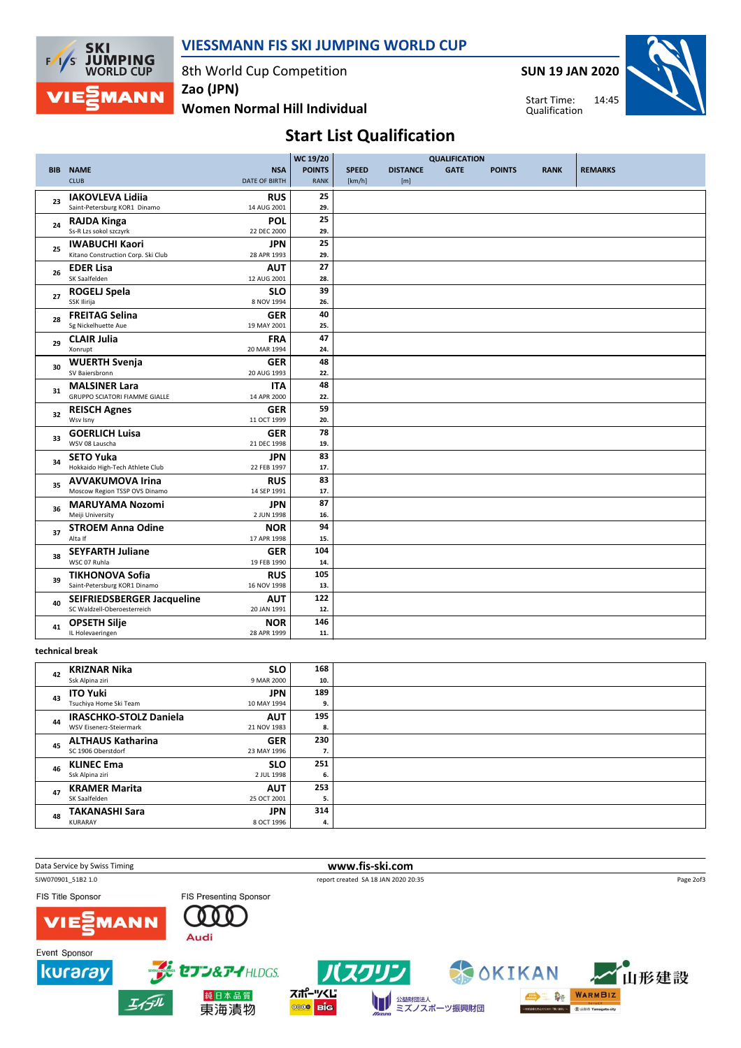

### VIESSMANN FIS SKI JUMPING WORLD CUP

8th World Cup Competition

SUN 19 JAN 2020

Start Time: Qualification



Women Normal Hill Individual Zao (JPN)

Start List Qualification

|            |                                                              |                           | WC 19/20      |              | <b>QUALIFICATION</b> |             |               |             |                |
|------------|--------------------------------------------------------------|---------------------------|---------------|--------------|----------------------|-------------|---------------|-------------|----------------|
| <b>BIB</b> | <b>NAME</b>                                                  | <b>NSA</b>                | <b>POINTS</b> | <b>SPEED</b> | <b>DISTANCE</b>      | <b>GATE</b> | <b>POINTS</b> | <b>RANK</b> | <b>REMARKS</b> |
|            | <b>CLUB</b><br><b>DATE OF BIRTH</b>                          |                           | <b>RANK</b>   | [km/h]       | [m]                  |             |               |             |                |
|            | <b>IAKOVLEVA Lidiia</b>                                      | <b>RUS</b>                | 25            |              |                      |             |               |             |                |
| 23         | Saint-Petersburg KOR1 Dinamo                                 | 14 AUG 2001               | 29.           |              |                      |             |               |             |                |
|            | <b>RAJDA Kinga</b>                                           | <b>POL</b>                | 25            |              |                      |             |               |             |                |
| 24         | Ss-R Lzs sokol szczyrk                                       | 22 DEC 2000               | 29.           |              |                      |             |               |             |                |
|            | <b>IWABUCHI Kaori</b>                                        | <b>JPN</b>                | 25            |              |                      |             |               |             |                |
| 25         | Kitano Construction Corp. Ski Club                           | 28 APR 1993               | 29.           |              |                      |             |               |             |                |
| 26         | <b>EDER Lisa</b>                                             | <b>AUT</b>                | 27            |              |                      |             |               |             |                |
|            | SK Saalfelden                                                | 12 AUG 2001               | 28.           |              |                      |             |               |             |                |
| 27         | <b>ROGELJ Spela</b>                                          | <b>SLO</b>                | 39            |              |                      |             |               |             |                |
|            | SSK Ilirija                                                  | 8 NOV 1994                | 26.           |              |                      |             |               |             |                |
| 28         | <b>FREITAG Selina</b>                                        | <b>GER</b>                | 40            |              |                      |             |               |             |                |
|            | Sg Nickelhuette Aue                                          | 19 MAY 2001               | 25.           |              |                      |             |               |             |                |
| 29         | <b>CLAIR Julia</b>                                           | <b>FRA</b>                | 47            |              |                      |             |               |             |                |
|            | Xonrupt<br>20 MAR 1994                                       |                           | 24.           |              |                      |             |               |             |                |
| 30         | <b>WUERTH Svenja</b>                                         | <b>GER</b>                | 48            |              |                      |             |               |             |                |
|            | SV Baiersbronn                                               | 20 AUG 1993               | 22.           |              |                      |             |               |             |                |
| 31         | <b>MALSINER Lara</b><br><b>GRUPPO SCIATORI FIAMME GIALLE</b> | <b>ITA</b>                | 48            |              |                      |             |               |             |                |
|            |                                                              | 14 APR 2000               | 22.           |              |                      |             |               |             |                |
| 32         | <b>REISCH Agnes</b><br>Wsv Isny                              | <b>GER</b><br>11 OCT 1999 | 59<br>20.     |              |                      |             |               |             |                |
|            |                                                              |                           | 78            |              |                      |             |               |             |                |
| 33         | <b>GOERLICH Luisa</b><br>WSV 08 Lauscha                      | <b>GER</b><br>21 DEC 1998 | 19.           |              |                      |             |               |             |                |
|            | <b>SETO Yuka</b>                                             | <b>JPN</b>                | 83            |              |                      |             |               |             |                |
| 34         | Hokkaido High-Tech Athlete Club                              | 22 FEB 1997               | 17.           |              |                      |             |               |             |                |
|            | <b>AVVAKUMOVA Irina</b>                                      | <b>RUS</b>                | 83            |              |                      |             |               |             |                |
| 35         | Moscow Region TSSP OVS Dinamo                                | 14 SEP 1991               | 17.           |              |                      |             |               |             |                |
|            | <b>MARUYAMA Nozomi</b>                                       | <b>JPN</b>                | 87            |              |                      |             |               |             |                |
| 36         | Meiji University                                             | 2 JUN 1998                | 16.           |              |                      |             |               |             |                |
|            | <b>STROEM Anna Odine</b>                                     | <b>NOR</b>                | 94            |              |                      |             |               |             |                |
| 37         | Alta If                                                      | 17 APR 1998               | 15.           |              |                      |             |               |             |                |
| 38         | <b>SEYFARTH Juliane</b>                                      | <b>GER</b>                | 104           |              |                      |             |               |             |                |
|            | WSC 07 Ruhla                                                 | 19 FEB 1990               | 14.           |              |                      |             |               |             |                |
| 39         | <b>TIKHONOVA Sofia</b>                                       | <b>RUS</b>                | 105           |              |                      |             |               |             |                |
|            | Saint-Petersburg KOR1 Dinamo                                 | 16 NOV 1998               | 13.           |              |                      |             |               |             |                |
| 40         | SEIFRIEDSBERGER Jacqueline                                   | <b>AUT</b>                | 122           |              |                      |             |               |             |                |
|            | SC Waldzell-Oberoesterreich                                  | 20 JAN 1991               | 12.           |              |                      |             |               |             |                |
| 41         | <b>OPSETH Silje</b>                                          | <b>NOR</b>                | 146           |              |                      |             |               |             |                |
|            | IL Holevaeringen                                             | 28 APR 1999               | 11.           |              |                      |             |               |             |                |

#### technical break

|    | <b>KRIZNAR Nika</b>           | <b>SLO</b>  | 168 |  |
|----|-------------------------------|-------------|-----|--|
| 42 | Ssk Alpina ziri               | 9 MAR 2000  | 10. |  |
|    |                               |             |     |  |
| 43 | <b>ITO Yuki</b>               | <b>JPN</b>  | 189 |  |
|    | Tsuchiya Home Ski Team        | 10 MAY 1994 | 9.  |  |
|    |                               |             |     |  |
| 44 | <b>IRASCHKO-STOLZ Daniela</b> | <b>AUT</b>  | 195 |  |
|    | WSV Eisenerz-Steiermark       | 21 NOV 1983 | 8.  |  |
|    |                               |             |     |  |
| 45 | <b>ALTHAUS Katharina</b>      | <b>GER</b>  | 230 |  |
|    | SC 1906 Oberstdorf            | 23 MAY 1996 | 7.  |  |
|    | <b>KLINEC Ema</b>             | <b>SLO</b>  | 251 |  |
| 46 |                               |             |     |  |
|    | Ssk Alpina ziri               | 2 JUL 1998  | 6.  |  |
|    | <b>KRAMER Marita</b>          | <b>AUT</b>  | 253 |  |
| 47 | SK Saalfelden                 | 25 OCT 2001 |     |  |
|    |                               |             | 5.  |  |
| 48 | <b>TAKANASHI Sara</b>         | <b>JPN</b>  | 314 |  |
|    | <b>KURARAY</b>                | 8 OCT 1996  | 4.  |  |
|    |                               |             |     |  |